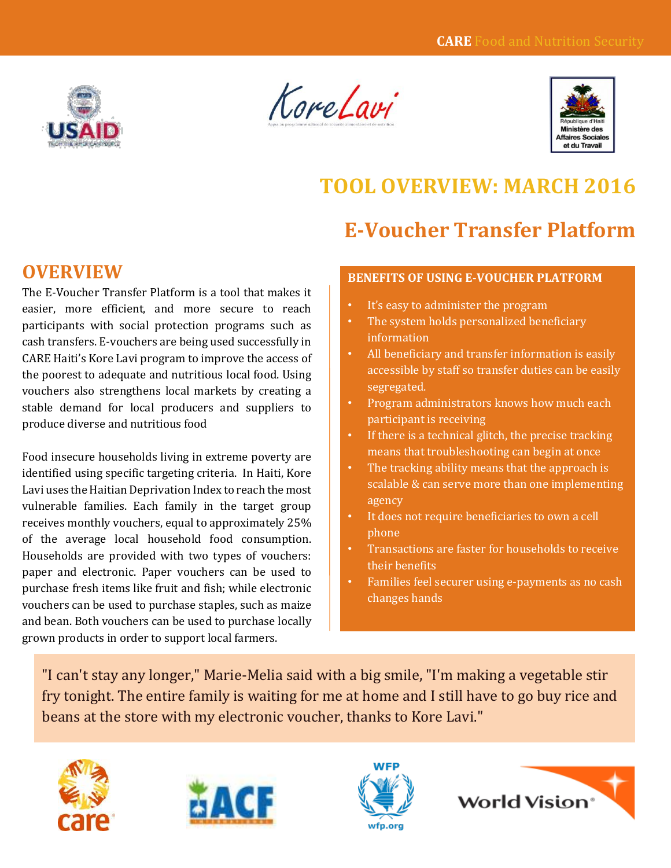





# **TOOL OVERVIEW: MARCH 2016 E-Voucher Transfer Platform**

## **OVERVIEW**

The E-Voucher Transfer Platform is a tool that makes it easier, more efficient, and more secure to reach participants with social protection programs such as cash transfers. E-vouchers are being used successfully in CARE Haiti's Kore Lavi program to improve the access of the poorest to adequate and nutritious local food. Using vouchers also strengthens local markets by creating a stable demand for local producers and suppliers to produce diverse and nutritious food

Food insecure households living in extreme poverty are identified using specific targeting criteria. In Haiti, Kore Lavi uses the Haitian Deprivation Index to reach the most vulnerable families. Each family in the target group receives monthly vouchers, equal to approximately 25% of the average local household food consumption. Households are provided with two types of vouchers: paper and electronic. Paper vouchers can be used to purchase fresh items like fruit and fish; while electronic vouchers can be used to purchase staples, such as maize and bean. Both vouchers can be used to purchase locally grown products in order to support local farmers.

#### **BENEFITS OF USING E-VOUCHER PLATFORM**

- It's easy to administer the program
- The system holds personalized beneficiary information
- All beneficiary and transfer information is easily accessible by staff so transfer duties can be easily segregated.
- Program administrators knows how much each participant is receiving
- If there is a technical glitch, the precise tracking means that troubleshooting can begin at once
- The tracking ability means that the approach is scalable & can serve more than one implementing agency
- It does not require beneficiaries to own a cell phone
- Transactions are faster for households to receive their benefits
- Families feel securer using e-payments as no cash changes hands

"I can't stay any longer," Marie-Melia said with a big smile, "I'm making a vegetable stir fry tonight. The entire family is waiting for me at home and I still have to go buy rice and beans at the store with my electronic voucher, thanks to Kore Lavi."